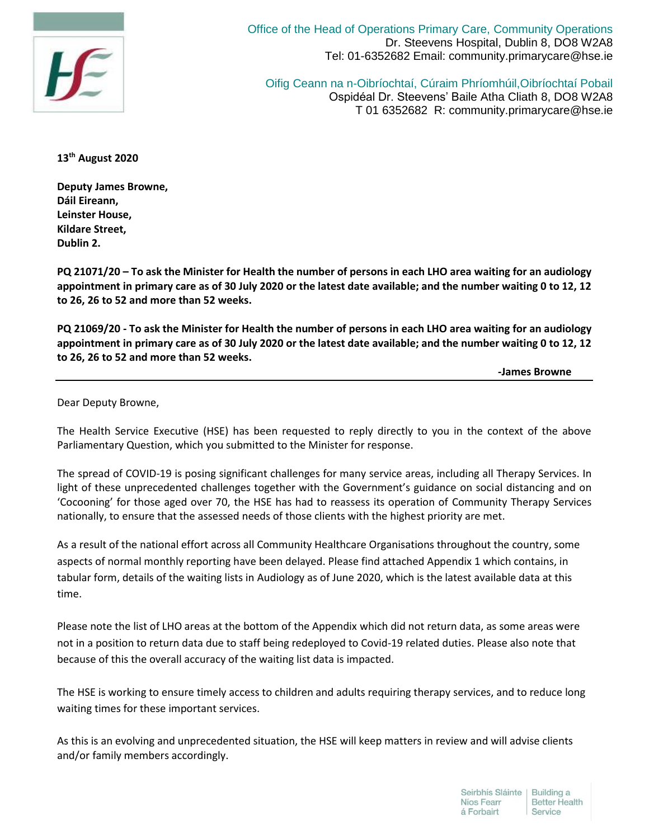

Office of the Head of Operations Primary Care, Community Operations Dr. Steevens Hospital, Dublin 8, DO8 W2A8 Tel: 01-6352682 Email: community.primarycare@hse.ie

Oifig Ceann na n-Oibríochtaí, Cúraim Phríomhúil,Oibríochtaí Pobail Ospidéal Dr. Steevens' Baile Atha Cliath 8, DO8 W2A8 T 01 6352682 R: community.primarycare@hse.ie

**13th August 2020**

**Deputy James Browne, Dáil Eireann, Leinster House, Kildare Street, Dublin 2.**

**PQ 21071/20 – To ask the Minister for Health the number of persons in each LHO area waiting for an audiology appointment in primary care as of 30 July 2020 or the latest date available; and the number waiting 0 to 12, 12 to 26, 26 to 52 and more than 52 weeks.**

**PQ 21069/20 - To ask the Minister for Health the number of persons in each LHO area waiting for an audiology appointment in primary care as of 30 July 2020 or the latest date available; and the number waiting 0 to 12, 12 to 26, 26 to 52 and more than 52 weeks.**

 **-James Browne**

Dear Deputy Browne,

The Health Service Executive (HSE) has been requested to reply directly to you in the context of the above Parliamentary Question, which you submitted to the Minister for response.

The spread of COVID-19 is posing significant challenges for many service areas, including all Therapy Services. In light of these unprecedented challenges together with the Government's guidance on social distancing and on 'Cocooning' for those aged over 70, the HSE has had to reassess its operation of Community Therapy Services nationally, to ensure that the assessed needs of those clients with the highest priority are met.

As a result of the national effort across all Community Healthcare Organisations throughout the country, some aspects of normal monthly reporting have been delayed. Please find attached Appendix 1 which contains, in tabular form, details of the waiting lists in Audiology as of June 2020, which is the latest available data at this time.

Please note the list of LHO areas at the bottom of the Appendix which did not return data, as some areas were not in a position to return data due to staff being redeployed to Covid-19 related duties. Please also note that because of this the overall accuracy of the waiting list data is impacted.

The HSE is working to ensure timely access to children and adults requiring therapy services, and to reduce long waiting times for these important services.

As this is an evolving and unprecedented situation, the HSE will keep matters in review and will advise clients and/or family members accordingly.